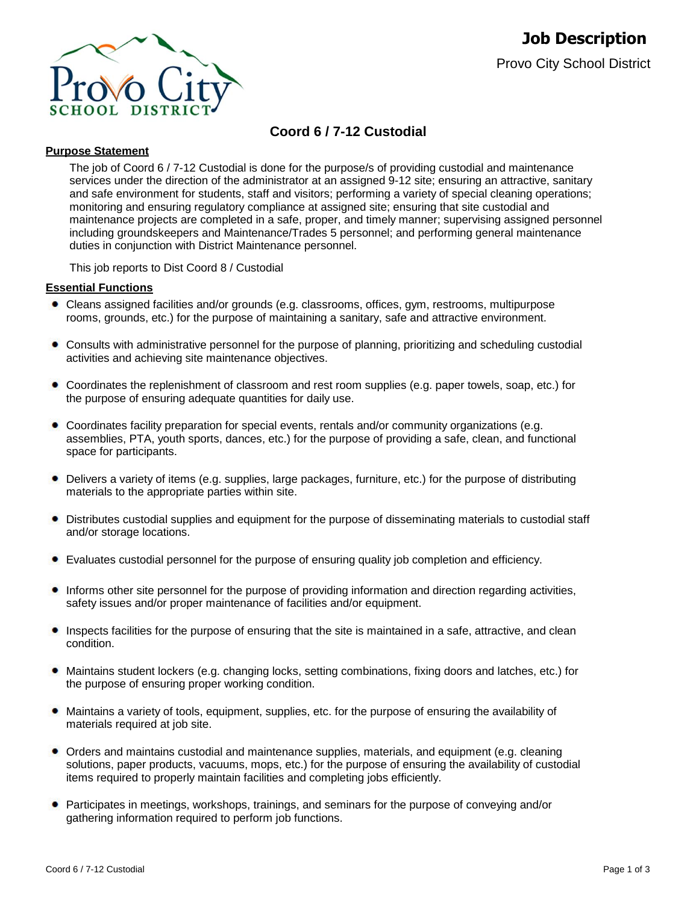

# **Coord 6 / 7-12 Custodial**

# **Purpose Statement**

The job of Coord 6 / 7-12 Custodial is done for the purpose/s of providing custodial and maintenance services under the direction of the administrator at an assigned 9-12 site; ensuring an attractive, sanitary and safe environment for students, staff and visitors; performing a variety of special cleaning operations; monitoring and ensuring regulatory compliance at assigned site; ensuring that site custodial and maintenance projects are completed in a safe, proper, and timely manner; supervising assigned personnel including groundskeepers and Maintenance/Trades 5 personnel; and performing general maintenance duties in conjunction with District Maintenance personnel.

This job reports to Dist Coord 8 / Custodial

# **Essential Functions**

- Cleans assigned facilities and/or grounds (e.g. classrooms, offices, gym, restrooms, multipurpose rooms, grounds, etc.) for the purpose of maintaining a sanitary, safe and attractive environment.
- Consults with administrative personnel for the purpose of planning, prioritizing and scheduling custodial activities and achieving site maintenance objectives.
- Coordinates the replenishment of classroom and rest room supplies (e.g. paper towels, soap, etc.) for the purpose of ensuring adequate quantities for daily use.
- Coordinates facility preparation for special events, rentals and/or community organizations (e.g. assemblies, PTA, youth sports, dances, etc.) for the purpose of providing a safe, clean, and functional space for participants.
- Delivers a variety of items (e.g. supplies, large packages, furniture, etc.) for the purpose of distributing materials to the appropriate parties within site.
- ۰ Distributes custodial supplies and equipment for the purpose of disseminating materials to custodial staff and/or storage locations.
- Evaluates custodial personnel for the purpose of ensuring quality job completion and efficiency.
- Informs other site personnel for the purpose of providing information and direction regarding activities, safety issues and/or proper maintenance of facilities and/or equipment.
- Inspects facilities for the purpose of ensuring that the site is maintained in a safe, attractive, and clean condition.
- Maintains student lockers (e.g. changing locks, setting combinations, fixing doors and latches, etc.) for  $\bullet$ the purpose of ensuring proper working condition.
- Maintains a variety of tools, equipment, supplies, etc. for the purpose of ensuring the availability of materials required at job site.
- Orders and maintains custodial and maintenance supplies, materials, and equipment (e.g. cleaning solutions, paper products, vacuums, mops, etc.) for the purpose of ensuring the availability of custodial items required to properly maintain facilities and completing jobs efficiently.
- Participates in meetings, workshops, trainings, and seminars for the purpose of conveying and/or gathering information required to perform job functions.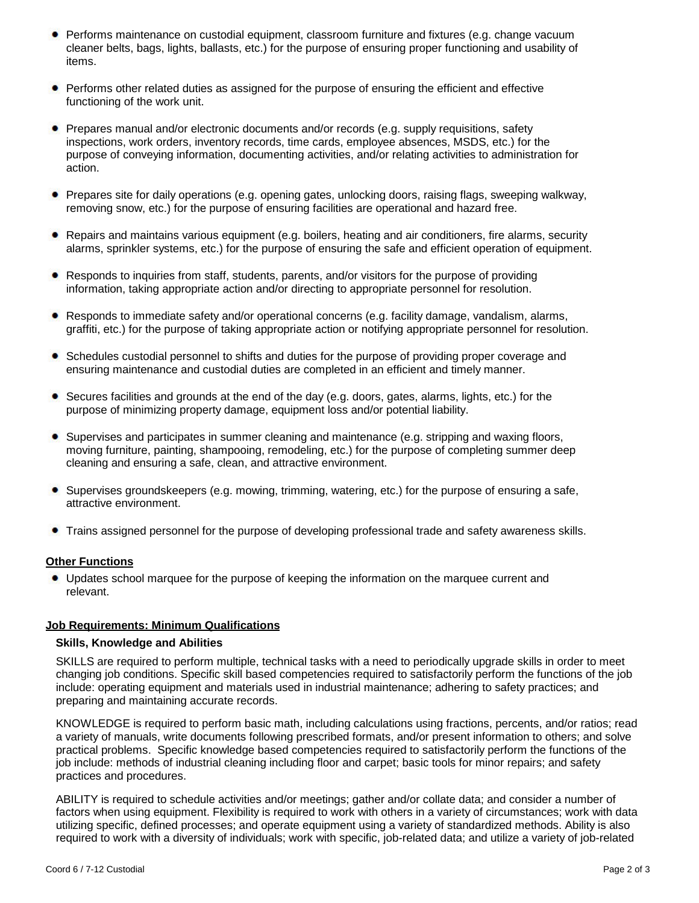- Performs maintenance on custodial equipment, classroom furniture and fixtures (e.g. change vacuum cleaner belts, bags, lights, ballasts, etc.) for the purpose of ensuring proper functioning and usability of items.
- Performs other related duties as assigned for the purpose of ensuring the efficient and effective functioning of the work unit.
- Prepares manual and/or electronic documents and/or records (e.g. supply requisitions, safety inspections, work orders, inventory records, time cards, employee absences, MSDS, etc.) for the purpose of conveying information, documenting activities, and/or relating activities to administration for action.
- Prepares site for daily operations (e.g. opening gates, unlocking doors, raising flags, sweeping walkway, removing snow, etc.) for the purpose of ensuring facilities are operational and hazard free.
- Repairs and maintains various equipment (e.g. boilers, heating and air conditioners, fire alarms, security alarms, sprinkler systems, etc.) for the purpose of ensuring the safe and efficient operation of equipment.
- Responds to inquiries from staff, students, parents, and/or visitors for the purpose of providing information, taking appropriate action and/or directing to appropriate personnel for resolution.
- Responds to immediate safety and/or operational concerns (e.g. facility damage, vandalism, alarms, graffiti, etc.) for the purpose of taking appropriate action or notifying appropriate personnel for resolution.
- Schedules custodial personnel to shifts and duties for the purpose of providing proper coverage and ۰ ensuring maintenance and custodial duties are completed in an efficient and timely manner.
- Secures facilities and grounds at the end of the day (e.g. doors, gates, alarms, lights, etc.) for the purpose of minimizing property damage, equipment loss and/or potential liability.
- Supervises and participates in summer cleaning and maintenance (e.g. stripping and waxing floors, moving furniture, painting, shampooing, remodeling, etc.) for the purpose of completing summer deep cleaning and ensuring a safe, clean, and attractive environment.
- Supervises groundskeepers (e.g. mowing, trimming, watering, etc.) for the purpose of ensuring a safe, attractive environment.
- Trains assigned personnel for the purpose of developing professional trade and safety awareness skills.

#### **Other Functions**

Updates school marquee for the purpose of keeping the information on the marquee current and relevant.

## **Job Requirements: Minimum Qualifications**

#### **Skills, Knowledge and Abilities**

SKILLS are required to perform multiple, technical tasks with a need to periodically upgrade skills in order to meet changing job conditions. Specific skill based competencies required to satisfactorily perform the functions of the job include: operating equipment and materials used in industrial maintenance; adhering to safety practices; and preparing and maintaining accurate records.

KNOWLEDGE is required to perform basic math, including calculations using fractions, percents, and/or ratios; read a variety of manuals, write documents following prescribed formats, and/or present information to others; and solve practical problems. Specific knowledge based competencies required to satisfactorily perform the functions of the job include: methods of industrial cleaning including floor and carpet; basic tools for minor repairs; and safety practices and procedures.

ABILITY is required to schedule activities and/or meetings; gather and/or collate data; and consider a number of factors when using equipment. Flexibility is required to work with others in a variety of circumstances; work with data utilizing specific, defined processes; and operate equipment using a variety of standardized methods. Ability is also required to work with a diversity of individuals; work with specific, job-related data; and utilize a variety of job-related